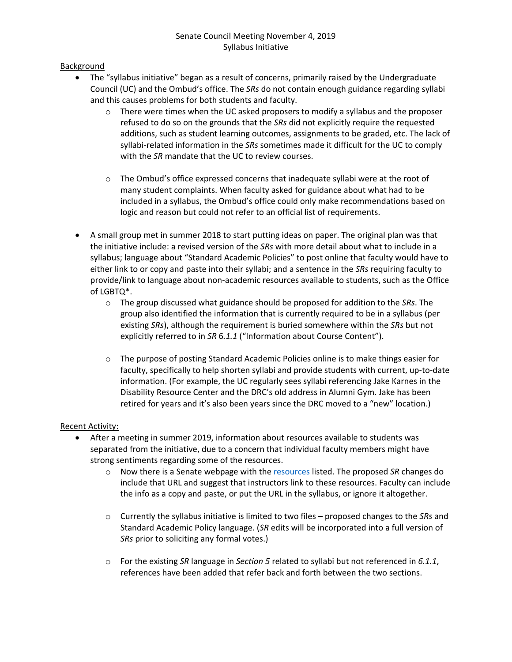### **Background**

- The "syllabus initiative" began as a result of concerns, primarily raised by the Undergraduate Council (UC) and the Ombud's office. The *SRs* do not contain enough guidance regarding syllabi and this causes problems for both students and faculty.
	- $\circ$  There were times when the UC asked proposers to modify a syllabus and the proposer refused to do so on the grounds that the *SRs* did not explicitly require the requested additions, such as student learning outcomes, assignments to be graded, etc. The lack of syllabi-related information in the *SRs* sometimes made it difficult for the UC to comply with the *SR* mandate that the UC to review courses.
	- $\circ$  The Ombud's office expressed concerns that inadequate syllabi were at the root of many student complaints. When faculty asked for guidance about what had to be included in a syllabus, the Ombud's office could only make recommendations based on logic and reason but could not refer to an official list of requirements.
- A small group met in summer 2018 to start putting ideas on paper. The original plan was that the initiative include: a revised version of the *SRs* with more detail about what to include in a syllabus; language about "Standard Academic Policies" to post online that faculty would have to either link to or copy and paste into their syllabi; and a sentence in the *SRs* requiring faculty to provide/link to language about non-academic resources available to students, such as the Office of LGBTQ\*.
	- o The group discussed what guidance should be proposed for addition to the *SRs*. The group also identified the information that is currently required to be in a syllabus (per existing *SRs*), although the requirement is buried somewhere within the *SRs* but not explicitly referred to in *SR* 6*.1.1* ("Information about Course Content").
	- $\circ$  The purpose of posting Standard Academic Policies online is to make things easier for faculty, specifically to help shorten syllabi and provide students with current, up-to-date information. (For example, the UC regularly sees syllabi referencing Jake Karnes in the Disability Resource Center and the DRC's old address in Alumni Gym. Jake has been retired for years and it's also been years since the DRC moved to a "new" location.)

### Recent Activity:

- After a meeting in summer 2019, information about resources available to students was separated from the initiative, due to a concern that individual faculty members might have strong sentiments regarding some of the resources.
	- o Now there is a Senate webpage with the [resources](https://www.uky.edu/universitysenate/what-resources-are-available-students) listed. The proposed *SR* changes do include that URL and suggest that instructors link to these resources. Faculty can include the info as a copy and paste, or put the URL in the syllabus, or ignore it altogether.
	- o Currently the syllabus initiative is limited to two files proposed changes to the *SRs* and Standard Academic Policy language. (*SR* edits will be incorporated into a full version of *SRs* prior to soliciting any formal votes.)
	- o For the existing *SR* language in *Section 5* related to syllabi but not referenced in *6.1.1*, references have been added that refer back and forth between the two sections.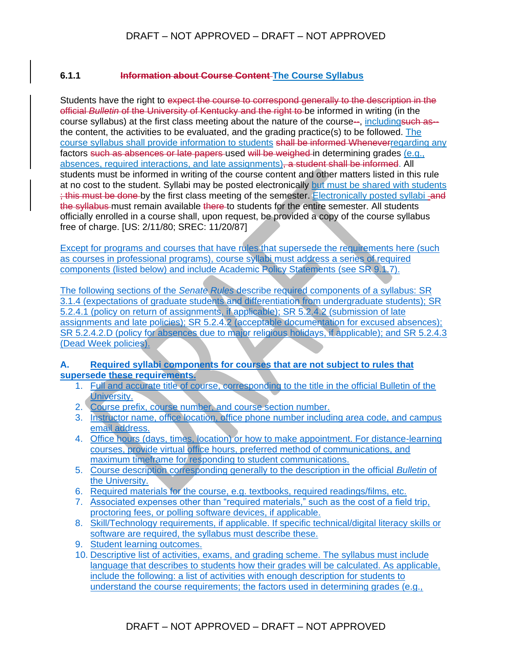### **6.1.1 Information about Course Content The Course Syllabus**

Students have the right to expect the course to correspond generally to the description in the official *Bulletin* of the University of Kentucky and the right to be informed in writing (in the course syllabus) at the first class meeting about the nature of the course--, includingsuch as- the content, the activities to be evaluated, and the grading practice(s) to be followed. The course syllabus shall provide information to students shall be informed Wheneverregarding any factors such as absences or late papers used will be weighed in determining grades (e.g., absences, required interactions, and late assignments), a student shall be informed. All students must be informed in writing of the course content and other matters listed in this rule at no cost to the student. Syllabi may be posted electronically but must be shared with students ; this must be done by the first class meeting of the semester. Electronically posted syllabi and the syllabus must remain available there to students for the entire semester. All students officially enrolled in a course shall, upon request, be provided a copy of the course syllabus free of charge. [US: 2/11/80; SREC: 11/20/87]

Except for programs and courses that have rules that supersede the requirements here (such as courses in professional programs), course syllabi must address a series of required components (listed below) and include Academic Policy Statements (see SR 9.1.7).

The following sections of the *Senate Rules* describe required components of a syllabus: SR 3.1.4 (expectations of graduate students and differentiation from undergraduate students); SR 5.2.4.1 (policy on return of assignments, if applicable); SR 5.2.4.2 (submission of late assignments and late policies); SR 5.2.4.2 (acceptable documentation for excused absences); SR 5.2.4.2.D (policy for absences due to major religious holidays, if applicable); and SR 5.2.4.3 (Dead Week policies).

### **A. Required syllabi components for courses that are not subject to rules that supersede these requirements.**

- 1. Full and accurate title of course, corresponding to the title in the official Bulletin of the University.
- 2. Course prefix, course number, and course section number.
- 3. Instructor name, office location, office phone number including area code, and campus email address.
- 4. Office hours (days, times, location) or how to make appointment. For distance-learning courses, provide virtual office hours, preferred method of communications, and maximum timeframe for responding to student communications.
- 5. Course description corresponding generally to the description in the official *Bulletin* of the University.
- 6. Required materials for the course, e.g. textbooks, required readings/films, etc.
- 7. Associated expenses other than "required materials," such as the cost of a field trip, proctoring fees, or polling software devices, if applicable.
- 8. Skill/Technology requirements, if applicable. If specific technical/digital literacy skills or software are required, the syllabus must describe these.
- 9. Student learning outcomes.
- 10. Descriptive list of activities, exams, and grading scheme. The syllabus must include language that describes to students how their grades will be calculated. As applicable, include the following: a list of activities with enough description for students to understand the course requirements; the factors used in determining grades (e.g.,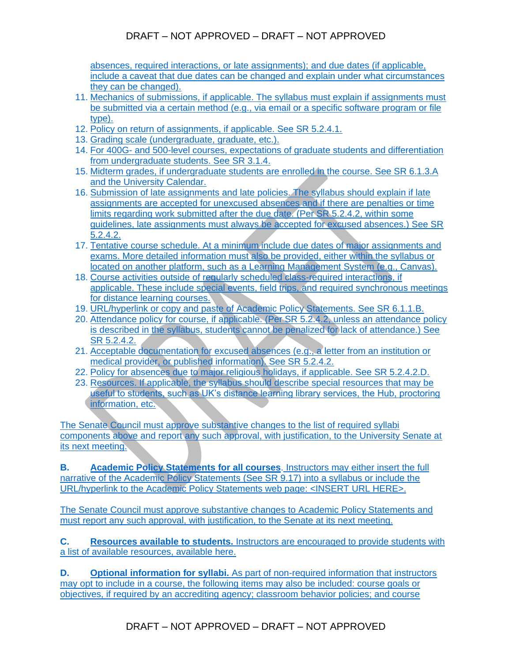# DRAFT – NOT APPROVED – DRAFT – NOT APPROVED

absences, required interactions, or late assignments); and due dates (if applicable, include a caveat that due dates can be changed and explain under what circumstances they can be changed).

- 11. Mechanics of submissions, if applicable. The syllabus must explain if assignments must be submitted via a certain method (e.g., via email or a specific software program or file type).
- 12. Policy on return of assignments, if applicable. See SR 5.2.4.1.
- 13. Grading scale (undergraduate, graduate, etc.).
- 14. For 400G- and 500-level courses, expectations of graduate students and differentiation from undergraduate students. See SR 3.1.4.
- 15. Midterm grades, if undergraduate students are enrolled in the course. See SR 6.1.3.A and the University Calendar.
- 16. Submission of late assignments and late policies. The syllabus should explain if late assignments are accepted for unexcused absences and if there are penalties or time limits regarding work submitted after the due date. (Per SR 5.2.4.2, within some guidelines, late assignments must always be accepted for excused absences.) See SR 5.2.4.2.
- 17. Tentative course schedule. At a minimum include due dates of major assignments and exams. More detailed information must also be provided, either within the syllabus or located on another platform, such as a Learning Management System (e.g., Canvas).
- 18. Course activities outside of regularly scheduled class-required interactions, if applicable. These include special events, field trips, and required synchronous meetings for distance learning courses.
- 19. URL/hyperlink or copy and paste of Academic Policy Statements. See SR 6.1.1.B.
- 20. Attendance policy for course, if applicable. (Per SR 5.2.4.2, unless an attendance policy is described in the syllabus, students cannot be penalized for lack of attendance.) See SR 5.2.4.2.
- 21. Acceptable documentation for excused absences (e.g., a letter from an institution or medical provider, or published information). See SR 5.2.4.2.
- 22. Policy for absences due to major religious holidays, if applicable. See SR 5.2.4.2.D.
- 23. Resources. If applicable, the syllabus should describe special resources that may be useful to students, such as UK's distance learning library services, the Hub, proctoring information, etc.

The Senate Council must approve substantive changes to the list of required syllabi components above and report any such approval, with justification, to the University Senate at its next meeting.

**B. Academic Policy Statements for all courses**. Instructors may either insert the full narrative of the Academic Policy Statements (See SR 9.17) into a syllabus or include the URL/hyperlink to the Academic Policy Statements web page: <INSERT URL HERE>.

The Senate Council must approve substantive changes to Academic Policy Statements and must report any such approval, with justification, to the Senate at its next meeting.

**C. Resources available to students.** Instructors are encouraged to provide students with a list of available resources, available [here.](https://www.uky.edu/universitysenate/what-resources-are-available-students)

**D. Optional information for syllabi.** As part of non-required information that instructors may opt to include in a course, the following items may also be included: course goals or objectives, if required by an accrediting agency; classroom behavior policies; and course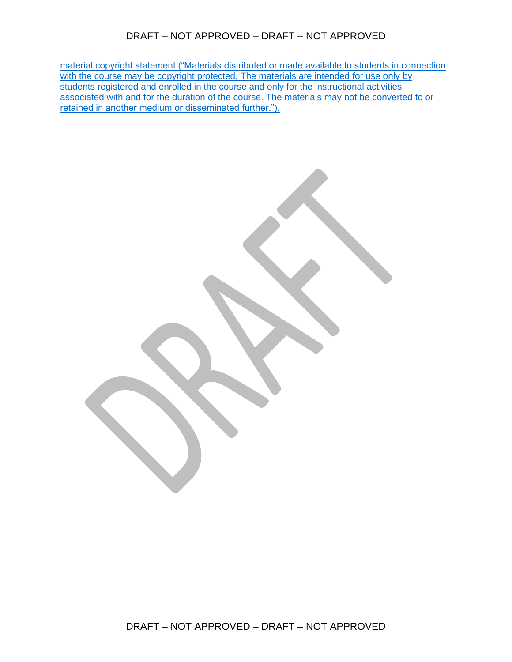## DRAFT – NOT APPROVED – DRAFT – NOT APPROVED

material copyright statement ("Materials distributed or made available to students in connection with the course may be copyright protected. The materials are intended for use only by students registered and enrolled in the course and only for the instructional activities associated with and for the duration of the course. The materials may not be converted to or retained in another medium or disseminated further.").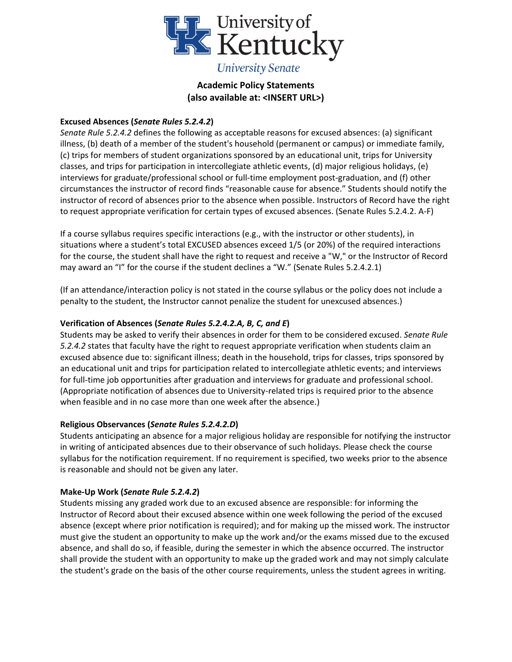

### **Excused Absences (***Senate Rules 5.2.4.2***)**

*Senate Rule 5.2.4.2* defines the following as acceptable reasons for excused absences: (a) significant illness, (b) death of a member of the student's household (permanent or campus) or immediate family, (c) trips for members of student organizations sponsored by an educational unit, trips for University classes, and trips for participation in intercollegiate athletic events, (d) major religious holidays, (e) interviews for graduate/professional school or full-time employment post-graduation, and (f) other circumstances the instructor of record finds "reasonable cause for absence." Students should notify the instructor of record of absences prior to the absence when possible. Instructors of Record have the right to request appropriate verification for certain types of excused absences. (Senate Rules 5.2.4.2. A-F)

If a course syllabus requires specific interactions (e.g., with the instructor or other students), in situations where a student's total EXCUSED absences exceed 1/5 (or 20%) of the required interactions for the course, the student shall have the right to request and receive a "W," or the Instructor of Record may award an "I" for the course if the student declines a "W." (Senate Rules 5.2.4.2.1)

(If an attendance/interaction policy is not stated in the course syllabus or the policy does not include a penalty to the student, the Instructor cannot penalize the student for unexcused absences.)

### **Verification of Absences (***Senate Rules 5.2.4.2.A, B, C, and E***)**

Students may be asked to verify their absences in order for them to be considered excused. *Senate Rule 5.2.4.2* states that faculty have the right to request appropriate verification when students claim an excused absence due to: significant illness; death in the household, trips for classes, trips sponsored by an educational unit and trips for participation related to intercollegiate athletic events; and interviews for full-time job opportunities after graduation and interviews for graduate and professional school. (Appropriate notification of absences due to University-related trips is required prior to the absence when feasible and in no case more than one week after the absence.)

### **Religious Observances (***Senate Rules 5.2.4.2.D***)**

Students anticipating an absence for a major religious holiday are responsible for notifying the instructor in writing of anticipated absences due to their observance of such holidays. Please check the course syllabus for the notification requirement. If no requirement is specified, two weeks prior to the absence is reasonable and should not be given any later.

### **Make-Up Work (***Senate Rule 5.2.4.2***)**

Students missing any graded work due to an excused absence are responsible: for informing the Instructor of Record about their excused absence within one week following the period of the excused absence (except where prior notification is required); and for making up the missed work. The instructor must give the student an opportunity to make up the work and/or the exams missed due to the excused absence, and shall do so, if feasible, during the semester in which the absence occurred. The instructor shall provide the student with an opportunity to make up the graded work and may not simply calculate the student's grade on the basis of the other course requirements, unless the student agrees in writing.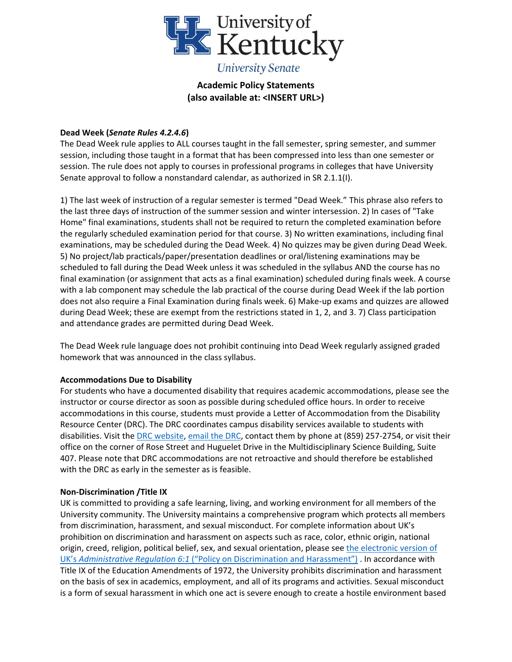

### **Dead Week (***Senate Rules 4.2.4.6***)**

The Dead Week rule applies to ALL courses taught in the fall semester, spring semester, and summer session, including those taught in a format that has been compressed into less than one semester or session. The rule does not apply to courses in professional programs in colleges that have University Senate approval to follow a nonstandard calendar, as authorized in SR 2.1.1(I).

1) The last week of instruction of a regular semester is termed "Dead Week." This phrase also refers to the last three days of instruction of the summer session and winter intersession. 2) In cases of "Take Home" final examinations, students shall not be required to return the completed examination before the regularly scheduled examination period for that course. 3) No written examinations, including final examinations, may be scheduled during the Dead Week. 4) No quizzes may be given during Dead Week. 5) No project/lab practicals/paper/presentation deadlines or oral/listening examinations may be scheduled to fall during the Dead Week unless it was scheduled in the syllabus AND the course has no final examination (or assignment that acts as a final examination) scheduled during finals week. A course with a lab component may schedule the lab practical of the course during Dead Week if the lab portion does not also require a Final Examination during finals week. 6) Make-up exams and quizzes are allowed during Dead Week; these are exempt from the restrictions stated in 1, 2, and 3. 7) Class participation and attendance grades are permitted during Dead Week.

The Dead Week rule language does not prohibit continuing into Dead Week regularly assigned graded homework that was announced in the class syllabus.

### **Accommodations Due to Disability**

For students who have a documented disability that requires academic accommodations, please see the instructor or course director as soon as possible during scheduled office hours. In order to receive accommodations in this course, students must provide a Letter of Accommodation from the Disability Resource Center (DRC). The DRC coordinates campus disability services available to students with disabilities. Visit th[e DRC website,](http://www.uky.edu/DisabilityResourceCenter) [email the DRC,](mailto:drc@uky.edu) contact them by phone at (859) 257-2754, or visit their office on the corner of Rose Street and Huguelet Drive in the Multidisciplinary Science Building, Suite 407. Please note that DRC accommodations are not retroactive and should therefore be established with the DRC as early in the semester as is feasible.

### **Non-Discrimination /Title IX**

UK is committed to providing a safe learning, living, and working environment for all members of the University community. The University maintains a comprehensive program which protects all members from discrimination, harassment, and sexual misconduct. For complete information about UK's prohibition on discrimination and harassment on aspects such as race, color, ethnic origin, national origin, creed, religion, political belief, sex, and sexual orientation, please see the electronic version of UK's *Administrative Regulation 6:1* [\("Policy on Discrimination and Harassment"\)](https://www.uky.edu/regs/sites/www.uky.edu.regs/files/files/ar/ar6-1.pdf) . In accordance with Title IX of the Education Amendments of 1972, the University prohibits discrimination and harassment on the basis of sex in academics, employment, and all of its programs and activities. Sexual misconduct is a form of sexual harassment in which one act is severe enough to create a hostile environment based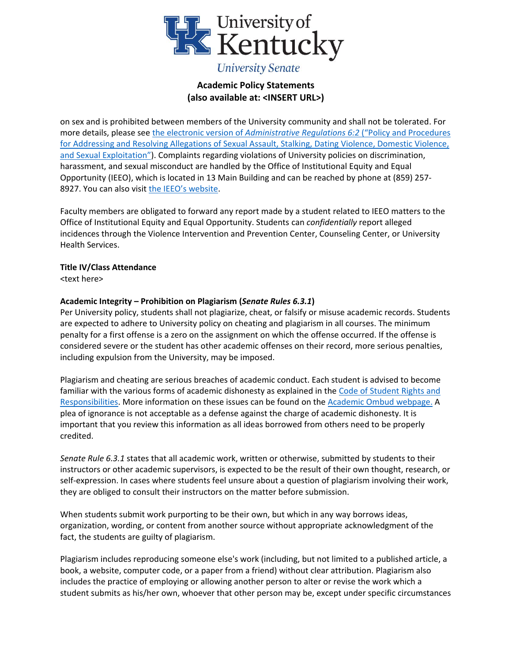

on sex and is prohibited between members of the University community and shall not be tolerated. For more details, please see the electronic version of *[Administrative Regulations 6:2](https://www.uky.edu/regs/sites/www.uky.edu.regs/files/files/ar/ar6-2_final_0682018_08-01-18_corrections.pdf)* ("Policy and Procedures [for Addressing and Resolving Allegations of Sexual Assault, Stalking, Dating Violence, Domestic](https://www.uky.edu/regs/sites/www.uky.edu.regs/files/files/ar/ar6-2_final_0682018_08-01-18_corrections.pdf) Violence, [and Sexual Exploitation](https://www.uky.edu/regs/sites/www.uky.edu.regs/files/files/ar/ar6-2_final_0682018_08-01-18_corrections.pdf)"). Complaints regarding violations of University policies on discrimination, harassment, and sexual misconduct are handled by the Office of Institutional Equity and Equal Opportunity (IEEO), which is located in 13 Main Building and can be reached by phone at (859) 257 8927. You can also visit [the IEEO's website](https://www.uky.edu/eeo/).

Faculty members are obligated to forward any report made by a student related to IEEO matters to the Office of Institutional Equity and Equal Opportunity. Students can *confidentially* report alleged incidences through the Violence Intervention and Prevention Center, Counseling Center, or University Health Services.

#### **Title IV/Class Attendance**

<text here>

### **Academic Integrity – Prohibition on Plagiarism (***Senate Rules 6.3.1***)**

Per University policy, students shall not plagiarize, cheat, or falsify or misuse academic records. Students are expected to adhere to University policy on cheating and plagiarism in all courses. The minimum penalty for a first offense is a zero on the assignment on which the offense occurred. If the offense is considered severe or the student has other academic offenses on their record, more serious penalties, including expulsion from the University, may be imposed.

Plagiarism and cheating are serious breaches of academic conduct. Each student is advised to become familiar with the various forms of academic dishonesty as explained in the [Code of Student Rights and](http://www.uky.edu/deanofstudents/student-rights-and-responsibilities)  [Responsibilities.](http://www.uky.edu/deanofstudents/student-rights-and-responsibilities) More information on these issues can be found on the [Academic Ombud webpage.](http://www.uky.edu/Ombud) A plea of ignorance is not acceptable as a defense against the charge of academic dishonesty. It is important that you review this information as all ideas borrowed from others need to be properly credited.

*Senate Rule 6.3.1* states that all academic work, written or otherwise, submitted by students to their instructors or other academic supervisors, is expected to be the result of their own thought, research, or self-expression. In cases where students feel unsure about a question of plagiarism involving their work, they are obliged to consult their instructors on the matter before submission.

When students submit work purporting to be their own, but which in any way borrows ideas, organization, wording, or content from another source without appropriate acknowledgment of the fact, the students are guilty of plagiarism.

Plagiarism includes reproducing someone else's work (including, but not limited to a published article, a book, a website, computer code, or a paper from a friend) without clear attribution. Plagiarism also includes the practice of employing or allowing another person to alter or revise the work which a student submits as his/her own, whoever that other person may be, except under specific circumstances